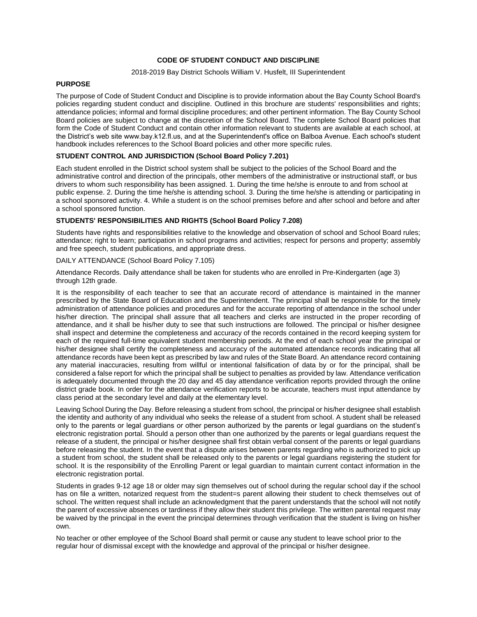# **CODE OF STUDENT CONDUCT AND DISCIPLINE**

## 2018-2019 Bay District Schools William V. Husfelt, III Superintendent

## **PURPOSE**

The purpose of Code of Student Conduct and Discipline is to provide information about the Bay County School Board's policies regarding student conduct and discipline. Outlined in this brochure are students' responsibilities and rights; attendance policies; informal and formal discipline procedures; and other pertinent information. The Bay County School Board policies are subject to change at the discretion of the School Board. The complete School Board policies that form the Code of Student Conduct and contain other information relevant to students are available at each school, at the District's web site www.bay.k12.fl.us, and at the Superintendent's office on Balboa Avenue. Each school's student handbook includes references to the School Board policies and other more specific rules.

# **STUDENT CONTROL AND JURISDICTION (School Board Policy 7.201)**

Each student enrolled in the District school system shall be subject to the policies of the School Board and the administrative control and direction of the principals, other members of the administrative or instructional staff, or bus drivers to whom such responsibility has been assigned. 1. During the time he/she is enroute to and from school at public expense. 2. During the time he/she is attending school. 3. During the time he/she is attending or participating in a school sponsored activity. 4. While a student is on the school premises before and after school and before and after a school sponsored function.

# **STUDENTS' RESPONSIBILITIES AND RIGHTS (School Board Policy 7.208)**

Students have rights and responsibilities relative to the knowledge and observation of school and School Board rules; attendance; right to learn; participation in school programs and activities; respect for persons and property; assembly and free speech, student publications, and appropriate dress.

## DAILY ATTENDANCE (School Board Policy 7.105)

Attendance Records. Daily attendance shall be taken for students who are enrolled in Pre-Kindergarten (age 3) through 12th grade.

It is the responsibility of each teacher to see that an accurate record of attendance is maintained in the manner prescribed by the State Board of Education and the Superintendent. The principal shall be responsible for the timely administration of attendance policies and procedures and for the accurate reporting of attendance in the school under his/her direction. The principal shall assure that all teachers and clerks are instructed in the proper recording of attendance, and it shall be his/her duty to see that such instructions are followed. The principal or his/her designee shall inspect and determine the completeness and accuracy of the records contained in the record keeping system for each of the required full-time equivalent student membership periods. At the end of each school year the principal or his/her designee shall certify the completeness and accuracy of the automated attendance records indicating that all attendance records have been kept as prescribed by law and rules of the State Board. An attendance record containing any material inaccuracies, resulting from willful or intentional falsification of data by or for the principal, shall be considered a false report for which the principal shall be subject to penalties as provided by law. Attendance verification is adequately documented through the 20 day and 45 day attendance verification reports provided through the online district grade book. In order for the attendance verification reports to be accurate, teachers must input attendance by class period at the secondary level and daily at the elementary level.

Leaving School During the Day. Before releasing a student from school, the principal or his/her designee shall establish the identity and authority of any individual who seeks the release of a student from school. A student shall be released only to the parents or legal guardians or other person authorized by the parents or legal guardians on the student's electronic registration portal. Should a person other than one authorized by the parents or legal guardians request the release of a student, the principal or his/her designee shall first obtain verbal consent of the parents or legal guardians before releasing the student. In the event that a dispute arises between parents regarding who is authorized to pick up a student from school, the student shall be released only to the parents or legal guardians registering the student for school. It is the responsibility of the Enrolling Parent or legal guardian to maintain current contact information in the electronic registration portal.

Students in grades 9-12 age 18 or older may sign themselves out of school during the regular school day if the school has on file a written, notarized request from the student=s parent allowing their student to check themselves out of school. The written request shall include an acknowledgment that the parent understands that the school will not notify the parent of excessive absences or tardiness if they allow their student this privilege. The written parental request may be waived by the principal in the event the principal determines through verification that the student is living on his/her own.

No teacher or other employee of the School Board shall permit or cause any student to leave school prior to the regular hour of dismissal except with the knowledge and approval of the principal or his/her designee.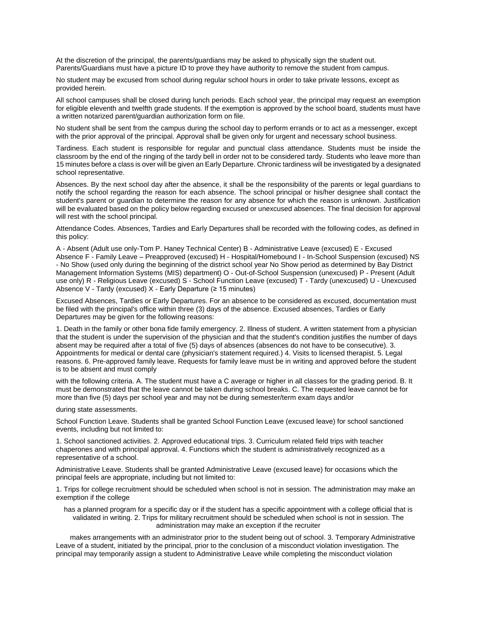At the discretion of the principal, the parents/guardians may be asked to physically sign the student out. Parents/Guardians must have a picture ID to prove they have authority to remove the student from campus.

No student may be excused from school during regular school hours in order to take private lessons, except as provided herein.

All school campuses shall be closed during lunch periods. Each school year, the principal may request an exemption for eligible eleventh and twelfth grade students. If the exemption is approved by the school board, students must have a written notarized parent/guardian authorization form on file.

No student shall be sent from the campus during the school day to perform errands or to act as a messenger, except with the prior approval of the principal. Approval shall be given only for urgent and necessary school business.

Tardiness. Each student is responsible for regular and punctual class attendance. Students must be inside the classroom by the end of the ringing of the tardy bell in order not to be considered tardy. Students who leave more than 15 minutes before a class is over will be given an Early Departure. Chronic tardiness will be investigated by a designated school representative.

Absences. By the next school day after the absence, it shall be the responsibility of the parents or legal guardians to notify the school regarding the reason for each absence. The school principal or his/her designee shall contact the student's parent or guardian to determine the reason for any absence for which the reason is unknown. Justification will be evaluated based on the policy below regarding excused or unexcused absences. The final decision for approval will rest with the school principal.

Attendance Codes. Absences, Tardies and Early Departures shall be recorded with the following codes, as defined in this policy:

A - Absent (Adult use only-Tom P. Haney Technical Center) B - Administrative Leave (excused) E - Excused Absence F - Family Leave – Preapproved (excused) H - Hospital/Homebound I - In-School Suspension (excused) NS - No Show (used only during the beginning of the district school year No Show period as determined by Bay District Management Information Systems (MIS) department) O - Out-of-School Suspension (unexcused) P - Present (Adult use only) R - Religious Leave (excused) S - School Function Leave (excused) T - Tardy (unexcused) U - Unexcused Absence V - Tardy (excused) X - Early Departure (≥ 15 minutes)

Excused Absences, Tardies or Early Departures. For an absence to be considered as excused, documentation must be filed with the principal's office within three (3) days of the absence. Excused absences, Tardies or Early Departures may be given for the following reasons:

1. Death in the family or other bona fide family emergency. 2. Illness of student. A written statement from a physician that the student is under the supervision of the physician and that the student's condition justifies the number of days absent may be required after a total of five (5) days of absences (absences do not have to be consecutive). 3. Appointments for medical or dental care (physician's statement required.) 4. Visits to licensed therapist. 5. Legal reasons. 6. Pre-approved family leave. Requests for family leave must be in writing and approved before the student is to be absent and must comply

with the following criteria. A. The student must have a C average or higher in all classes for the grading period. B. It must be demonstrated that the leave cannot be taken during school breaks. C. The requested leave cannot be for more than five (5) days per school year and may not be during semester/term exam days and/or

#### during state assessments.

School Function Leave. Students shall be granted School Function Leave (excused leave) for school sanctioned events, including but not limited to:

1. School sanctioned activities. 2. Approved educational trips. 3. Curriculum related field trips with teacher chaperones and with principal approval. 4. Functions which the student is administratively recognized as a representative of a school.

Administrative Leave. Students shall be granted Administrative Leave (excused leave) for occasions which the principal feels are appropriate, including but not limited to:

1. Trips for college recruitment should be scheduled when school is not in session. The administration may make an exemption if the college

has a planned program for a specific day or if the student has a specific appointment with a college official that is validated in writing. 2. Trips for military recruitment should be scheduled when school is not in session. The administration may make an exception if the recruiter

makes arrangements with an administrator prior to the student being out of school. 3. Temporary Administrative Leave of a student, initiated by the principal, prior to the conclusion of a misconduct violation investigation. The principal may temporarily assign a student to Administrative Leave while completing the misconduct violation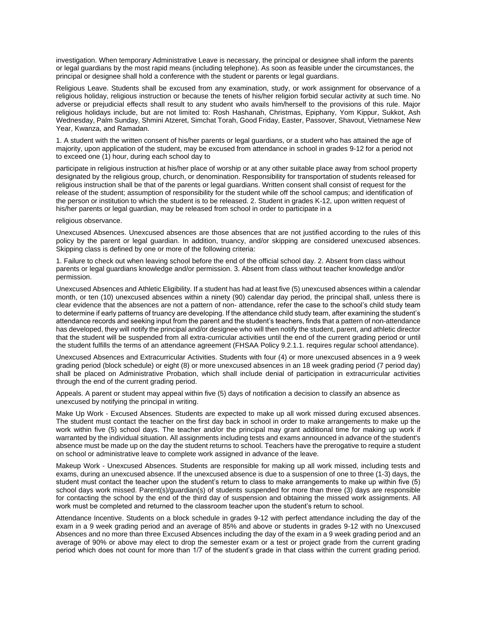investigation. When temporary Administrative Leave is necessary, the principal or designee shall inform the parents or legal guardians by the most rapid means (including telephone). As soon as feasible under the circumstances, the principal or designee shall hold a conference with the student or parents or legal guardians.

Religious Leave. Students shall be excused from any examination, study, or work assignment for observance of a religious holiday, religious instruction or because the tenets of his/her religion forbid secular activity at such time. No adverse or prejudicial effects shall result to any student who avails him/herself to the provisions of this rule. Major religious holidays include, but are not limited to: Rosh Hashanah, Christmas, Epiphany, Yom Kippur, Sukkot, Ash Wednesday, Palm Sunday, Shmini Atzeret, Simchat Torah, Good Friday, Easter, Passover, Shavout, Vietnamese New Year, Kwanza, and Ramadan.

1. A student with the written consent of his/her parents or legal guardians, or a student who has attained the age of majority, upon application of the student, may be excused from attendance in school in grades 9-12 for a period not to exceed one (1) hour, during each school day to

participate in religious instruction at his/her place of worship or at any other suitable place away from school property designated by the religious group, church, or denomination. Responsibility for transportation of students released for religious instruction shall be that of the parents or legal guardians. Written consent shall consist of request for the release of the student; assumption of responsibility for the student while off the school campus; and identification of the person or institution to which the student is to be released. 2. Student in grades K-12, upon written request of his/her parents or legal guardian, may be released from school in order to participate in a

#### religious observance.

Unexcused Absences. Unexcused absences are those absences that are not justified according to the rules of this policy by the parent or legal guardian. In addition, truancy, and/or skipping are considered unexcused absences. Skipping class is defined by one or more of the following criteria:

1. Failure to check out when leaving school before the end of the official school day. 2. Absent from class without parents or legal guardians knowledge and/or permission. 3. Absent from class without teacher knowledge and/or permission.

Unexcused Absences and Athletic Eligibility. If a student has had at least five (5) unexcused absences within a calendar month, or ten (10) unexcused absences within a ninety (90) calendar day period, the principal shall, unless there is clear evidence that the absences are not a pattern of non- attendance, refer the case to the school's child study team to determine if early patterns of truancy are developing. If the attendance child study team, after examining the student's attendance records and seeking input from the parent and the student's teachers, finds that a pattern of non-attendance has developed, they will notify the principal and/or designee who will then notify the student, parent, and athletic director that the student will be suspended from all extra-curricular activities until the end of the current grading period or until the student fulfills the terms of an attendance agreement (FHSAA Policy 9.2.1.1. requires regular school attendance).

Unexcused Absences and Extracurricular Activities. Students with four (4) or more unexcused absences in a 9 week grading period (block schedule) or eight (8) or more unexcused absences in an 18 week grading period (7 period day) shall be placed on Administrative Probation, which shall include denial of participation in extracurricular activities through the end of the current grading period.

Appeals. A parent or student may appeal within five (5) days of notification a decision to classify an absence as unexcused by notifying the principal in writing.

Make Up Work - Excused Absences. Students are expected to make up all work missed during excused absences. The student must contact the teacher on the first day back in school in order to make arrangements to make up the work within five (5) school days. The teacher and/or the principal may grant additional time for making up work if warranted by the individual situation. All assignments including tests and exams announced in advance of the student's absence must be made up on the day the student returns to school. Teachers have the prerogative to require a student on school or administrative leave to complete work assigned in advance of the leave.

Makeup Work - Unexcused Absences. Students are responsible for making up all work missed, including tests and exams, during an unexcused absence. If the unexcused absence is due to a suspension of one to three (1-3) days, the student must contact the teacher upon the student's return to class to make arrangements to make up within five (5) school days work missed. Parent(s)/guardian(s) of students suspended for more than three (3) days are responsible for contacting the school by the end of the third day of suspension and obtaining the missed work assignments. All work must be completed and returned to the classroom teacher upon the student's return to school.

Attendance Incentive. Students on a block schedule in grades 9-12 with perfect attendance including the day of the exam in a 9 week grading period and an average of 85% and above or students in grades 9-12 with no Unexcused Absences and no more than three Excused Absences including the day of the exam in a 9 week grading period and an average of 90% or above may elect to drop the semester exam or a test or project grade from the current grading period which does not count for more than 1/7 of the student's grade in that class within the current grading period.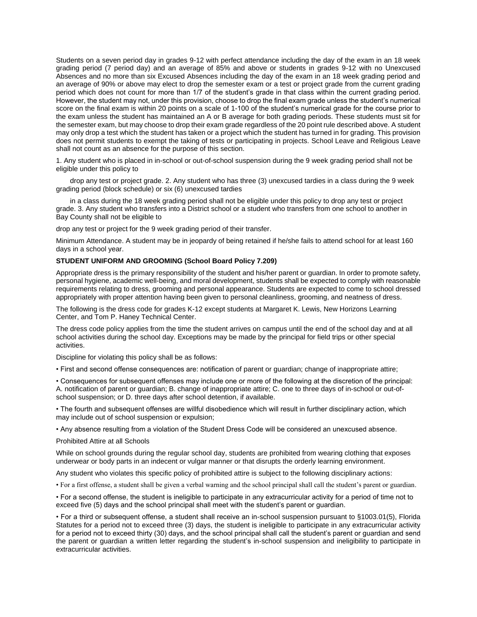Students on a seven period day in grades 9-12 with perfect attendance including the day of the exam in an 18 week grading period (7 period day) and an average of 85% and above or students in grades 9-12 with no Unexcused Absences and no more than six Excused Absences including the day of the exam in an 18 week grading period and an average of 90% or above may elect to drop the semester exam or a test or project grade from the current grading period which does not count for more than 1/7 of the student's grade in that class within the current grading period. However, the student may not, under this provision, choose to drop the final exam grade unless the student's numerical score on the final exam is within 20 points on a scale of 1-100 of the student's numerical grade for the course prior to the exam unless the student has maintained an A or B average for both grading periods. These students must sit for the semester exam, but may choose to drop their exam grade regardless of the 20 point rule described above. A student may only drop a test which the student has taken or a project which the student has turned in for grading. This provision does not permit students to exempt the taking of tests or participating in projects. School Leave and Religious Leave shall not count as an absence for the purpose of this section.

1. Any student who is placed in in-school or out-of-school suspension during the 9 week grading period shall not be eligible under this policy to

drop any test or project grade. 2. Any student who has three (3) unexcused tardies in a class during the 9 week grading period (block schedule) or six (6) unexcused tardies

in a class during the 18 week grading period shall not be eligible under this policy to drop any test or project grade. 3. Any student who transfers into a District school or a student who transfers from one school to another in Bay County shall not be eligible to

drop any test or project for the 9 week grading period of their transfer.

Minimum Attendance. A student may be in jeopardy of being retained if he/she fails to attend school for at least 160 days in a school year.

# **STUDENT UNIFORM AND GROOMING (School Board Policy 7.209)**

Appropriate dress is the primary responsibility of the student and his/her parent or guardian. In order to promote safety, personal hygiene, academic well-being, and moral development, students shall be expected to comply with reasonable requirements relating to dress, grooming and personal appearance. Students are expected to come to school dressed appropriately with proper attention having been given to personal cleanliness, grooming, and neatness of dress.

The following is the dress code for grades K-12 except students at Margaret K. Lewis, New Horizons Learning Center, and Tom P. Haney Technical Center.

The dress code policy applies from the time the student arrives on campus until the end of the school day and at all school activities during the school day. Exceptions may be made by the principal for field trips or other special activities.

Discipline for violating this policy shall be as follows:

• First and second offense consequences are: notification of parent or guardian; change of inappropriate attire;

• Consequences for subsequent offenses may include one or more of the following at the discretion of the principal: A. notification of parent or guardian; B. change of inappropriate attire; C. one to three days of in-school or out-ofschool suspension; or D. three days after school detention, if available.

• The fourth and subsequent offenses are willful disobedience which will result in further disciplinary action, which may include out of school suspension or expulsion;

• Any absence resulting from a violation of the Student Dress Code will be considered an unexcused absence.

Prohibited Attire at all Schools

While on school grounds during the regular school day, students are prohibited from wearing clothing that exposes underwear or body parts in an indecent or vulgar manner or that disrupts the orderly learning environment.

Any student who violates this specific policy of prohibited attire is subject to the following disciplinary actions:

• For a first offense, a student shall be given a verbal warning and the school principal shall call the student's parent or guardian.

• For a second offense, the student is ineligible to participate in any extracurricular activity for a period of time not to exceed five (5) days and the school principal shall meet with the student's parent or guardian.

• For a third or subsequent offense, a student shall receive an in-school suspension pursuant to §1003.01(5), Florida Statutes for a period not to exceed three (3) days, the student is ineligible to participate in any extracurricular activity for a period not to exceed thirty (30) days, and the school principal shall call the student's parent or guardian and send the parent or guardian a written letter regarding the student's in-school suspension and ineligibility to participate in extracurricular activities.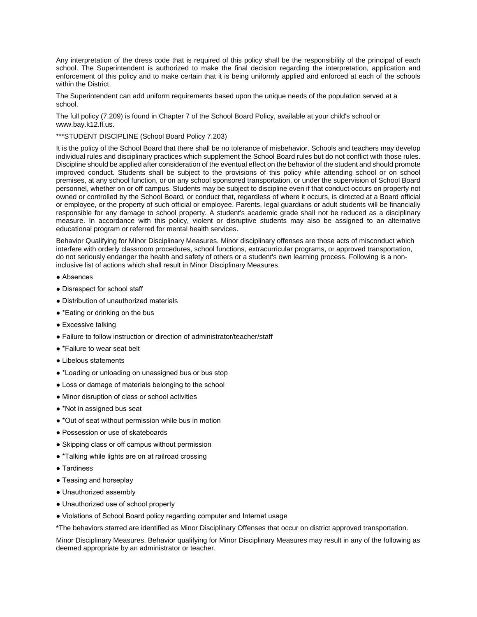Any interpretation of the dress code that is required of this policy shall be the responsibility of the principal of each school. The Superintendent is authorized to make the final decision regarding the interpretation, application and enforcement of this policy and to make certain that it is being uniformly applied and enforced at each of the schools within the District.

The Superintendent can add uniform requirements based upon the unique needs of the population served at a school.

The full policy (7.209) is found in Chapter 7 of the School Board Policy, available at your child's school or www.bay.k12.fl.us.

\*\*\*STUDENT DISCIPLINE (School Board Policy 7.203)

It is the policy of the School Board that there shall be no tolerance of misbehavior. Schools and teachers may develop individual rules and disciplinary practices which supplement the School Board rules but do not conflict with those rules. Discipline should be applied after consideration of the eventual effect on the behavior of the student and should promote improved conduct. Students shall be subject to the provisions of this policy while attending school or on school premises, at any school function, or on any school sponsored transportation, or under the supervision of School Board personnel, whether on or off campus. Students may be subject to discipline even if that conduct occurs on property not owned or controlled by the School Board, or conduct that, regardless of where it occurs, is directed at a Board official or employee, or the property of such official or employee. Parents, legal guardians or adult students will be financially responsible for any damage to school property. A student's academic grade shall not be reduced as a disciplinary measure. In accordance with this policy, violent or disruptive students may also be assigned to an alternative educational program or referred for mental health services.

Behavior Qualifying for Minor Disciplinary Measures. Minor disciplinary offenses are those acts of misconduct which interfere with orderly classroom procedures, school functions, extracurricular programs, or approved transportation, do not seriously endanger the health and safety of others or a student's own learning process. Following is a noninclusive list of actions which shall result in Minor Disciplinary Measures.

- Absences
- Disrespect for school staff
- Distribution of unauthorized materials
- \*Eating or drinking on the bus
- Excessive talking
- Failure to follow instruction or direction of administrator/teacher/staff
- \*Failure to wear seat belt
- Libelous statements
- \*Loading or unloading on unassigned bus or bus stop
- Loss or damage of materials belonging to the school
- Minor disruption of class or school activities
- \*Not in assigned bus seat
- \*Out of seat without permission while bus in motion
- Possession or use of skateboards
- Skipping class or off campus without permission
- \*Talking while lights are on at railroad crossing
- Tardiness
- Teasing and horseplay
- Unauthorized assembly
- Unauthorized use of school property
- Violations of School Board policy regarding computer and Internet usage
- \*The behaviors starred are identified as Minor Disciplinary Offenses that occur on district approved transportation.

Minor Disciplinary Measures. Behavior qualifying for Minor Disciplinary Measures may result in any of the following as deemed appropriate by an administrator or teacher.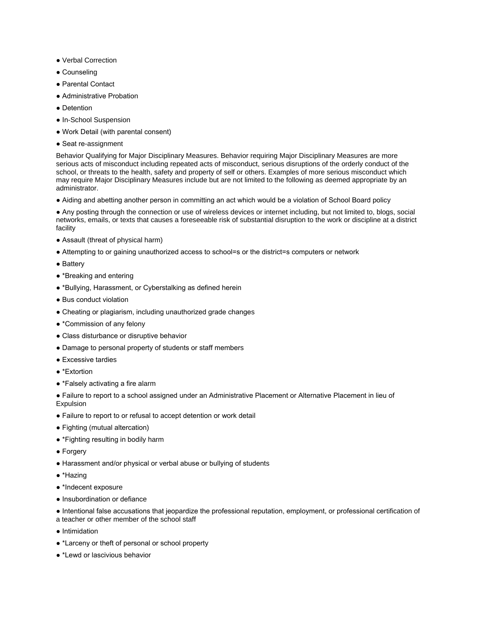- Verbal Correction
- Counseling
- Parental Contact
- Administrative Probation
- Detention
- In-School Suspension
- Work Detail (with parental consent)
- Seat re-assignment

Behavior Qualifying for Major Disciplinary Measures. Behavior requiring Major Disciplinary Measures are more serious acts of misconduct including repeated acts of misconduct, serious disruptions of the orderly conduct of the school, or threats to the health, safety and property of self or others. Examples of more serious misconduct which may require Major Disciplinary Measures include but are not limited to the following as deemed appropriate by an administrator.

● Aiding and abetting another person in committing an act which would be a violation of School Board policy

● Any posting through the connection or use of wireless devices or internet including, but not limited to, blogs, social networks, emails, or texts that causes a foreseeable risk of substantial disruption to the work or discipline at a district facility

- Assault (threat of physical harm)
- Attempting to or gaining unauthorized access to school=s or the district=s computers or network
- Battery
- \*Breaking and entering
- \*Bullying, Harassment, or Cyberstalking as defined herein
- Bus conduct violation
- Cheating or plagiarism, including unauthorized grade changes
- \*Commission of any felony
- Class disturbance or disruptive behavior
- Damage to personal property of students or staff members
- Excessive tardies
- \*Extortion
- \*Falsely activating a fire alarm

● Failure to report to a school assigned under an Administrative Placement or Alternative Placement in lieu of Expulsion

- Failure to report to or refusal to accept detention or work detail
- Fighting (mutual altercation)
- \*Fighting resulting in bodily harm
- Forgery
- Harassment and/or physical or verbal abuse or bullying of students
- \*Hazing
- \*Indecent exposure
- Insubordination or defiance
- Intentional false accusations that jeopardize the professional reputation, employment, or professional certification of a teacher or other member of the school staff
- Intimidation
- \*Larceny or theft of personal or school property
- \*Lewd or lascivious behavior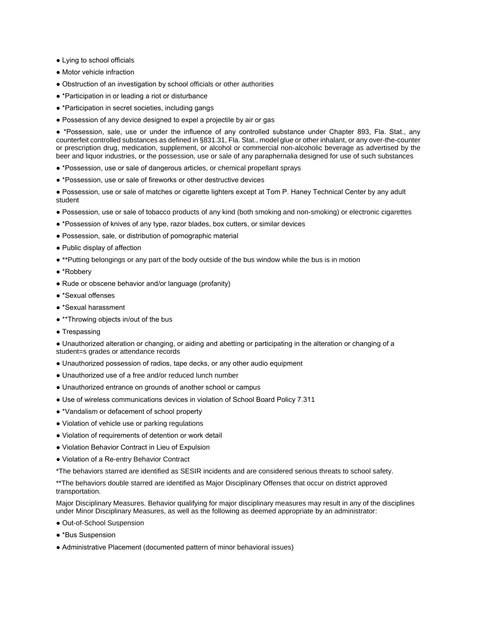- Lying to school officials
- Motor vehicle infraction
- Obstruction of an investigation by school officials or other authorities
- \*Participation in or leading a riot or disturbance
- \*Participation in secret societies, including gangs
- Possession of any device designed to expel a projectile by air or gas

● \*Possession, sale, use or under the influence of any controlled substance under Chapter 893, Fla. Stat., any counterfeit controlled substances as defined in §831.31, Fla. Stat., model glue or other inhalant, or any over-the-counter or prescription drug, medication, supplement, or alcohol or commercial non-alcoholic beverage as advertised by the beer and liquor industries, or the possession, use or sale of any paraphernalia designed for use of such substances

- \*Possession, use or sale of dangerous articles, or chemical propellant sprays
- \*Possession, use or sale of fireworks or other destructive devices

● Possession, use or sale of matches or cigarette lighters except at Tom P. Haney Technical Center by any adult student

- Possession, use or sale of tobacco products of any kind (both smoking and non-smoking) or electronic cigarettes
- \*Possession of knives of any type, razor blades, box cutters, or similar devices
- Possession, sale, or distribution of pornographic material
- Public display of affection
- \*\*Putting belongings or any part of the body outside of the bus window while the bus is in motion
- \*Robberv
- Rude or obscene behavior and/or language (profanity)
- \*Sexual offenses
- \*Sexual harassment
- \*\*Throwing objects in/out of the bus
- Trespassing

● Unauthorized alteration or changing, or aiding and abetting or participating in the alteration or changing of a student=s grades or attendance records

- Unauthorized possession of radios, tape decks, or any other audio equipment
- Unauthorized use of a free and/or reduced lunch number
- Unauthorized entrance on grounds of another school or campus
- Use of wireless communications devices in violation of School Board Policy 7.311
- \*Vandalism or defacement of school property
- Violation of vehicle use or parking regulations
- Violation of requirements of detention or work detail
- Violation Behavior Contract in Lieu of Expulsion
- Violation of a Re-entry Behavior Contract
- \*The behaviors starred are identified as SESIR incidents and are considered serious threats to school safety.

\*\*The behaviors double starred are identified as Major Disciplinary Offenses that occur on district approved transportation.

Major Disciplinary Measures. Behavior qualifying for major disciplinary measures may result in any of the disciplines under Minor Disciplinary Measures, as well as the following as deemed appropriate by an administrator:

- Out-of-School Suspension
- \*Bus Suspension
- Administrative Placement (documented pattern of minor behavioral issues)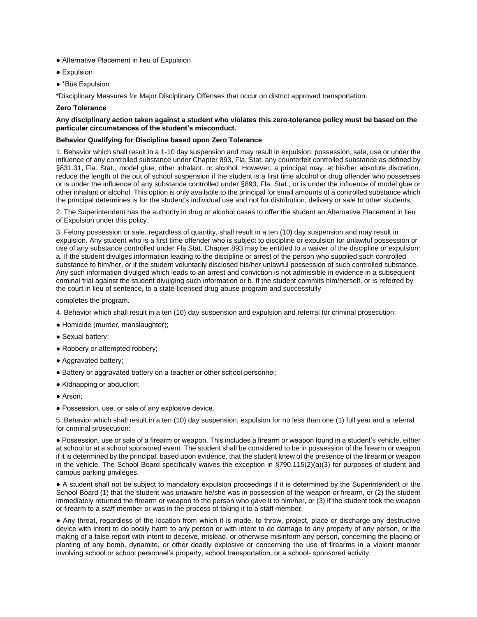- Alternative Placement in lieu of Expulsion
- Expulsion
- \*Bus Expulsion

\*Disciplinary Measures for Major Disciplinary Offenses that occur on district approved transportation.

### **Zero Tolerance**

### **Any disciplinary action taken against a student who violates this zero-tolerance policy must be based on the particular circumstances of the student's misconduct.**

### **Behavior Qualifying for Discipline based upon Zero Tolerance**

1. Behavior which shall result in a 1-10 day suspension and may result in expulsion: possession, sale, use or under the influence of any controlled substance under Chapter 893, Fla. Stat. any counterfeit controlled substance as defined by §831.31, Fla. Stat., model glue, other inhalant, or alcohol. However, a principal may, at his/her absolute discretion, reduce the length of the out of school suspension if the student is a first time alcohol or drug offender who possesses or is under the influence of any substance controlled under §893, Fla. Stat., or is under the influence of model glue or other inhalant or alcohol. This option is only available to the principal for small amounts of a controlled substance which the principal determines is for the student's individual use and not for distribution, delivery or sale to other students.

2. The Superintendent has the authority in drug or alcohol cases to offer the student an Alternative Placement in lieu of Expulsion under this policy.

3. Felony possession or sale, regardless of quantity, shall result in a ten (10) day suspension and may result in expulsion. Any student who is a first time offender who is subject to discipline or expulsion for unlawful possession or use of any substance controlled under Fla Stat. Chapter 893 may be entitled to a waiver of the discipline or expulsion: a. If the student divulges information leading to the discipline or arrest of the person who supplied such controlled substance to him/her, or if the student voluntarily disclosed his/her unlawful possession of such controlled substance. Any such information divulged which leads to an arrest and conviction is not admissible in evidence in a subsequent criminal trial against the student divulging such information or b. If the student commits him/herself, or is referred by the court in lieu of sentence, to a state-licensed drug abuse program and successfully

completes the program.

4. Behavior which shall result in a ten (10) day suspension and expulsion and referral for criminal prosecution:

- Homicide (murder, manslaughter);
- Sexual battery;
- Robbery or attempted robbery;
- Aggravated battery;
- Battery or aggravated battery on a teacher or other school personnel;
- Kidnapping or abduction;
- Arson;
- Possession, use, or sale of any explosive device.

5. Behavior which shall result in a ten (10) day suspension, expulsion for no less than one (1) full year and a referral for criminal prosecution:

● Possession, use or sale of a firearm or weapon. This includes a firearm or weapon found in a student's vehicle, either at school or at a school sponsored event. The student shall be considered to be in possession of the firearm or weapon if it is determined by the principal, based upon evidence, that the student knew of the presence of the firearm or weapon in the vehicle. The School Board specifically waives the exception in §790.115(2)(a)(3) for purposes of student and campus parking privileges.

● A student shall not be subject to mandatory expulsion proceedings if it is determined by the Superintendent or the School Board (1) that the student was unaware he/she was in possession of the weapon or firearm, or (2) the student immediately returned the firearm or weapon to the person who gave it to him/her, or (3) if the student took the weapon or firearm to a staff member or was in the process of taking it to a staff member.

● Any threat, regardless of the location from which it is made, to throw, project, place or discharge any destructive device with intent to do bodily harm to any person or with intent to do damage to any property of any person, or the making of a false report with intent to deceive, mislead, or otherwise misinform any person, concerning the placing or planting of any bomb, dynamite, or other deadly explosive or concerning the use of firearms in a violent manner involving school or school personnel's property, school transportation, or a school- sponsored activity.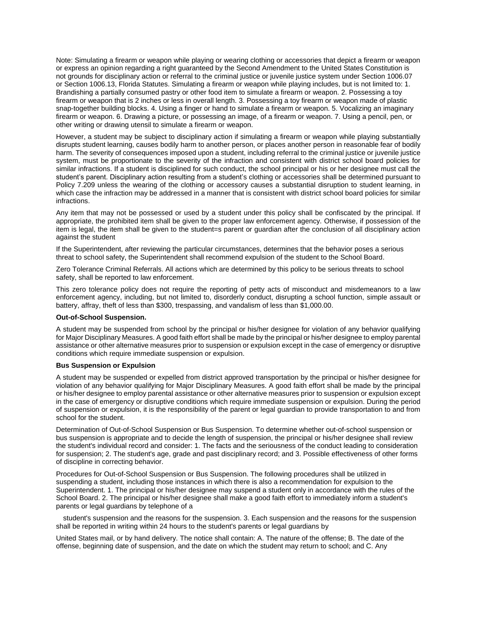Note: Simulating a firearm or weapon while playing or wearing clothing or accessories that depict a firearm or weapon or express an opinion regarding a right guaranteed by the Second Amendment to the United States Constitution is not grounds for disciplinary action or referral to the criminal justice or juvenile justice system under Section 1006.07 or Section 1006.13, Florida Statutes. Simulating a firearm or weapon while playing includes, but is not limited to: 1. Brandishing a partially consumed pastry or other food item to simulate a firearm or weapon. 2. Possessing a toy firearm or weapon that is 2 inches or less in overall length. 3. Possessing a toy firearm or weapon made of plastic snap-together building blocks. 4. Using a finger or hand to simulate a firearm or weapon. 5. Vocalizing an imaginary firearm or weapon. 6. Drawing a picture, or possessing an image, of a firearm or weapon. 7. Using a pencil, pen, or other writing or drawing utensil to simulate a firearm or weapon.

However, a student may be subject to disciplinary action if simulating a firearm or weapon while playing substantially disrupts student learning, causes bodily harm to another person, or places another person in reasonable fear of bodily harm. The severity of consequences imposed upon a student, including referral to the criminal justice or juvenile justice system, must be proportionate to the severity of the infraction and consistent with district school board policies for similar infractions. If a student is disciplined for such conduct, the school principal or his or her designee must call the student's parent. Disciplinary action resulting from a student's clothing or accessories shall be determined pursuant to Policy 7.209 unless the wearing of the clothing or accessory causes a substantial disruption to student learning, in which case the infraction may be addressed in a manner that is consistent with district school board policies for similar infractions.

Any item that may not be possessed or used by a student under this policy shall be confiscated by the principal. If appropriate, the prohibited item shall be given to the proper law enforcement agency. Otherwise, if possession of the item is legal, the item shall be given to the student=s parent or guardian after the conclusion of all disciplinary action against the student

If the Superintendent, after reviewing the particular circumstances, determines that the behavior poses a serious threat to school safety, the Superintendent shall recommend expulsion of the student to the School Board.

Zero Tolerance Criminal Referrals. All actions which are determined by this policy to be serious threats to school safety, shall be reported to law enforcement.

This zero tolerance policy does not require the reporting of petty acts of misconduct and misdemeanors to a law enforcement agency, including, but not limited to, disorderly conduct, disrupting a school function, simple assault or battery, affray, theft of less than \$300, trespassing, and vandalism of less than \$1,000.00.

#### **Out-of-School Suspension.**

A student may be suspended from school by the principal or his/her designee for violation of any behavior qualifying for Major Disciplinary Measures. A good faith effort shall be made by the principal or his/her designee to employ parental assistance or other alternative measures prior to suspension or expulsion except in the case of emergency or disruptive conditions which require immediate suspension or expulsion.

#### **Bus Suspension or Expulsion**

A student may be suspended or expelled from district approved transportation by the principal or his/her designee for violation of any behavior qualifying for Major Disciplinary Measures. A good faith effort shall be made by the principal or his/her designee to employ parental assistance or other alternative measures prior to suspension or expulsion except in the case of emergency or disruptive conditions which require immediate suspension or expulsion. During the period of suspension or expulsion, it is the responsibility of the parent or legal guardian to provide transportation to and from school for the student.

Determination of Out-of-School Suspension or Bus Suspension. To determine whether out-of-school suspension or bus suspension is appropriate and to decide the length of suspension, the principal or his/her designee shall review the student's individual record and consider: 1. The facts and the seriousness of the conduct leading to consideration for suspension; 2. The student's age, grade and past disciplinary record; and 3. Possible effectiveness of other forms of discipline in correcting behavior.

Procedures for Out-of-School Suspension or Bus Suspension. The following procedures shall be utilized in suspending a student, including those instances in which there is also a recommendation for expulsion to the Superintendent. 1. The principal or his/her designee may suspend a student only in accordance with the rules of the School Board. 2. The principal or his/her designee shall make a good faith effort to immediately inform a student's parents or legal guardians by telephone of a

student's suspension and the reasons for the suspension. 3. Each suspension and the reasons for the suspension shall be reported in writing within 24 hours to the student's parents or legal guardians by

United States mail, or by hand delivery. The notice shall contain: A. The nature of the offense; B. The date of the offense, beginning date of suspension, and the date on which the student may return to school; and C. Any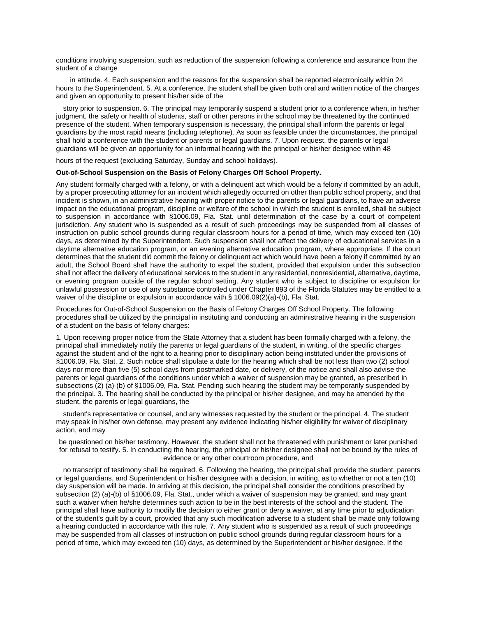conditions involving suspension, such as reduction of the suspension following a conference and assurance from the student of a change

in attitude. 4. Each suspension and the reasons for the suspension shall be reported electronically within 24 hours to the Superintendent. 5. At a conference, the student shall be given both oral and written notice of the charges and given an opportunity to present his/her side of the

story prior to suspension. 6. The principal may temporarily suspend a student prior to a conference when, in his/her judgment, the safety or health of students, staff or other persons in the school may be threatened by the continued presence of the student. When temporary suspension is necessary, the principal shall inform the parents or legal guardians by the most rapid means (including telephone). As soon as feasible under the circumstances, the principal shall hold a conference with the student or parents or legal guardians. 7. Upon request, the parents or legal guardians will be given an opportunity for an informal hearing with the principal or his/her designee within 48

hours of the request (excluding Saturday, Sunday and school holidays).

### **Out-of-School Suspension on the Basis of Felony Charges Off School Property.**

Any student formally charged with a felony, or with a delinquent act which would be a felony if committed by an adult, by a proper prosecuting attorney for an incident which allegedly occurred on other than public school property, and that incident is shown, in an administrative hearing with proper notice to the parents or legal guardians, to have an adverse impact on the educational program, discipline or welfare of the school in which the student is enrolled, shall be subject to suspension in accordance with §1006.09, Fla. Stat. until determination of the case by a court of competent jurisdiction. Any student who is suspended as a result of such proceedings may be suspended from all classes of instruction on public school grounds during regular classroom hours for a period of time, which may exceed ten (10) days, as determined by the Superintendent. Such suspension shall not affect the delivery of educational services in a daytime alternative education program, or an evening alternative education program, where appropriate. If the court determines that the student did commit the felony or delinquent act which would have been a felony if committed by an adult, the School Board shall have the authority to expel the student, provided that expulsion under this subsection shall not affect the delivery of educational services to the student in any residential, nonresidential, alternative, daytime, or evening program outside of the regular school setting. Any student who is subject to discipline or expulsion for unlawful possession or use of any substance controlled under Chapter 893 of the Florida Statutes may be entitled to a waiver of the discipline or expulsion in accordance with § 1006.09(2)(a)-(b), Fla. Stat.

Procedures for Out-of-School Suspension on the Basis of Felony Charges Off School Property. The following procedures shall be utilized by the principal in instituting and conducting an administrative hearing in the suspension of a student on the basis of felony charges:

1. Upon receiving proper notice from the State Attorney that a student has been formally charged with a felony, the principal shall immediately notify the parents or legal guardians of the student, in writing, of the specific charges against the student and of the right to a hearing prior to disciplinary action being instituted under the provisions of §1006.09, Fla. Stat. 2. Such notice shall stipulate a date for the hearing which shall be not less than two (2) school days nor more than five (5) school days from postmarked date, or delivery, of the notice and shall also advise the parents or legal guardians of the conditions under which a waiver of suspension may be granted, as prescribed in subsections (2) (a)-(b) of §1006.09, Fla. Stat. Pending such hearing the student may be temporarily suspended by the principal. 3. The hearing shall be conducted by the principal or his/her designee, and may be attended by the student, the parents or legal guardians, the

student's representative or counsel, and any witnesses requested by the student or the principal. 4. The student may speak in his/her own defense, may present any evidence indicating his/her eligibility for waiver of disciplinary action, and may

be questioned on his/her testimony. However, the student shall not be threatened with punishment or later punished for refusal to testify. 5. In conducting the hearing, the principal or his\her designee shall not be bound by the rules of evidence or any other courtroom procedure, and

no transcript of testimony shall be required. 6. Following the hearing, the principal shall provide the student, parents or legal guardians, and Superintendent or his/her designee with a decision, in writing, as to whether or not a ten (10) day suspension will be made. In arriving at this decision, the principal shall consider the conditions prescribed by subsection (2) (a)-(b) of §1006.09, Fla. Stat., under which a waiver of suspension may be granted, and may grant such a waiver when he/she determines such action to be in the best interests of the school and the student. The principal shall have authority to modify the decision to either grant or deny a waiver, at any time prior to adjudication of the student's guilt by a court, provided that any such modification adverse to a student shall be made only following a hearing conducted in accordance with this rule. 7. Any student who is suspended as a result of such proceedings may be suspended from all classes of instruction on public school grounds during regular classroom hours for a period of time, which may exceed ten (10) days, as determined by the Superintendent or his/her designee. If the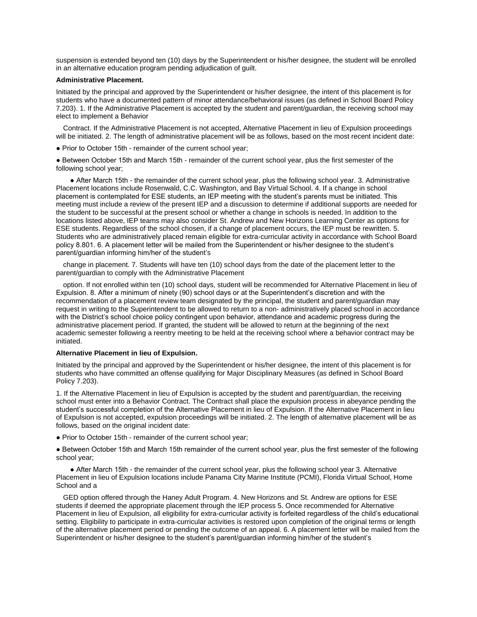suspension is extended beyond ten (10) days by the Superintendent or his/her designee, the student will be enrolled in an alternative education program pending adjudication of guilt.

#### **Administrative Placement.**

Initiated by the principal and approved by the Superintendent or his/her designee, the intent of this placement is for students who have a documented pattern of minor attendance/behavioral issues (as defined in School Board Policy 7.203). 1. If the Administrative Placement is accepted by the student and parent/guardian, the receiving school may elect to implement a Behavior

Contract. If the Administrative Placement is not accepted, Alternative Placement in lieu of Expulsion proceedings will be initiated. 2. The length of administrative placement will be as follows, based on the most recent incident date:

• Prior to October 15th - remainder of the current school year:

● Between October 15th and March 15th - remainder of the current school year, plus the first semester of the following school year;

● After March 15th - the remainder of the current school year, plus the following school year. 3. Administrative Placement locations include Rosenwald, C.C. Washington, and Bay Virtual School. 4. If a change in school placement is contemplated for ESE students, an IEP meeting with the student's parents must be initiated. This meeting must include a review of the present IEP and a discussion to determine if additional supports are needed for the student to be successful at the present school or whether a change in schools is needed. In addition to the locations listed above, IEP teams may also consider St. Andrew and New Horizons Learning Center as options for ESE students. Regardless of the school chosen, if a change of placement occurs, the IEP must be rewritten. 5. Students who are administratively placed remain eligible for extra-curricular activity in accordance with School Board policy 8.801. 6. A placement letter will be mailed from the Superintendent or his/her designee to the student's parent/guardian informing him/her of the student's

change in placement. 7. Students will have ten (10) school days from the date of the placement letter to the parent/guardian to comply with the Administrative Placement

option. If not enrolled within ten (10) school days, student will be recommended for Alternative Placement in lieu of Expulsion. 8. After a minimum of ninety (90) school days or at the Superintendent's discretion and with the recommendation of a placement review team designated by the principal, the student and parent/guardian may request in writing to the Superintendent to be allowed to return to a non- administratively placed school in accordance with the District's school choice policy contingent upon behavior, attendance and academic progress during the administrative placement period. If granted, the student will be allowed to return at the beginning of the next academic semester following a reentry meeting to be held at the receiving school where a behavior contract may be initiated.

#### **Alternative Placement in lieu of Expulsion.**

Initiated by the principal and approved by the Superintendent or his/her designee, the intent of this placement is for students who have committed an offense qualifying for Major Disciplinary Measures (as defined in School Board Policy 7.203).

1. If the Alternative Placement in lieu of Expulsion is accepted by the student and parent/guardian, the receiving school must enter into a Behavior Contract. The Contract shall place the expulsion process in abeyance pending the student's successful completion of the Alternative Placement in lieu of Expulsion. If the Alternative Placement in lieu of Expulsion is not accepted, expulsion proceedings will be initiated. 2. The length of alternative placement will be as follows, based on the original incident date:

● Prior to October 15th - remainder of the current school year;

● Between October 15th and March 15th remainder of the current school year, plus the first semester of the following school year;

● After March 15th - the remainder of the current school year, plus the following school year 3. Alternative Placement in lieu of Expulsion locations include Panama City Marine Institute (PCMI), Florida Virtual School, Home School and a

GED option offered through the Haney Adult Program. 4. New Horizons and St. Andrew are options for ESE students if deemed the appropriate placement through the IEP process 5. Once recommended for Alternative Placement in lieu of Expulsion, all eligibility for extra-curricular activity is forfeited regardless of the child's educational setting. Eligibility to participate in extra-curricular activities is restored upon completion of the original terms or length of the alternative placement period or pending the outcome of an appeal. 6. A placement letter will be mailed from the Superintendent or his/her designee to the student's parent/guardian informing him/her of the student's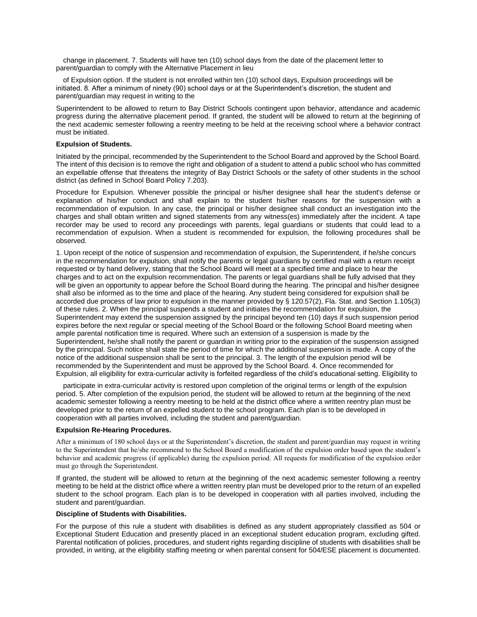change in placement. 7. Students will have ten (10) school days from the date of the placement letter to parent/guardian to comply with the Alternative Placement in lieu

of Expulsion option. If the student is not enrolled within ten (10) school days, Expulsion proceedings will be initiated. 8. After a minimum of ninety (90) school days or at the Superintendent's discretion, the student and parent/guardian may request in writing to the

Superintendent to be allowed to return to Bay District Schools contingent upon behavior, attendance and academic progress during the alternative placement period. If granted, the student will be allowed to return at the beginning of the next academic semester following a reentry meeting to be held at the receiving school where a behavior contract must be initiated.

#### **Expulsion of Students.**

Initiated by the principal, recommended by the Superintendent to the School Board and approved by the School Board. The intent of this decision is to remove the right and obligation of a student to attend a public school who has committed an expellable offense that threatens the integrity of Bay District Schools or the safety of other students in the school district (as defined in School Board Policy 7.203).

Procedure for Expulsion. Whenever possible the principal or his/her designee shall hear the student's defense or explanation of his/her conduct and shall explain to the student his/her reasons for the suspension with a recommendation of expulsion. In any case, the principal or his/her designee shall conduct an investigation into the charges and shall obtain written and signed statements from any witness(es) immediately after the incident. A tape recorder may be used to record any proceedings with parents, legal guardians or students that could lead to a recommendation of expulsion. When a student is recommended for expulsion, the following procedures shall be observed.

1. Upon receipt of the notice of suspension and recommendation of expulsion, the Superintendent, if he/she concurs in the recommendation for expulsion, shall notify the parents or legal guardians by certified mail with a return receipt requested or by hand delivery, stating that the School Board will meet at a specified time and place to hear the charges and to act on the expulsion recommendation. The parents or legal guardians shall be fully advised that they will be given an opportunity to appear before the School Board during the hearing. The principal and his/her designee shall also be informed as to the time and place of the hearing. Any student being considered for expulsion shall be accorded due process of law prior to expulsion in the manner provided by § 120.57(2), Fla. Stat. and Section 1.105(3) of these rules. 2. When the principal suspends a student and initiates the recommendation for expulsion, the Superintendent may extend the suspension assigned by the principal beyond ten (10) days if such suspension period expires before the next regular or special meeting of the School Board or the following School Board meeting when ample parental notification time is required. Where such an extension of a suspension is made by the Superintendent, he/she shall notify the parent or guardian in writing prior to the expiration of the suspension assigned by the principal. Such notice shall state the period of time for which the additional suspension is made. A copy of the notice of the additional suspension shall be sent to the principal. 3. The length of the expulsion period will be recommended by the Superintendent and must be approved by the School Board. 4. Once recommended for Expulsion, all eligibility for extra-curricular activity is forfeited regardless of the child's educational setting. Eligibility to

participate in extra-curricular activity is restored upon completion of the original terms or length of the expulsion period. 5. After completion of the expulsion period, the student will be allowed to return at the beginning of the next academic semester following a reentry meeting to be held at the district office where a written reentry plan must be developed prior to the return of an expelled student to the school program. Each plan is to be developed in cooperation with all parties involved, including the student and parent/guardian.

#### **Expulsion Re-Hearing Procedures.**

After a minimum of 180 school days or at the Superintendent's discretion, the student and parent/guardian may request in writing to the Superintendent that he/she recommend to the School Board a modification of the expulsion order based upon the student's behavior and academic progress (if applicable) during the expulsion period. All requests for modification of the expulsion order must go through the Superintendent.

If granted, the student will be allowed to return at the beginning of the next academic semester following a reentry meeting to be held at the district office where a written reentry plan must be developed prior to the return of an expelled student to the school program. Each plan is to be developed in cooperation with all parties involved, including the student and parent/guardian.

#### **Discipline of Students with Disabilities.**

For the purpose of this rule a student with disabilities is defined as any student appropriately classified as 504 or Exceptional Student Education and presently placed in an exceptional student education program, excluding gifted. Parental notification of policies, procedures, and student rights regarding discipline of students with disabilities shall be provided, in writing, at the eligibility staffing meeting or when parental consent for 504/ESE placement is documented.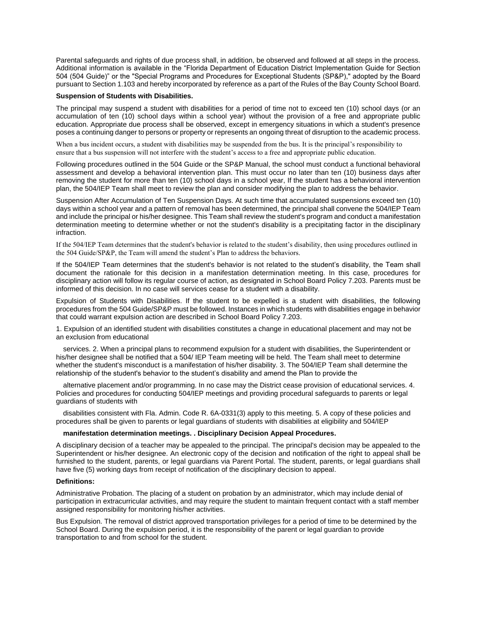Parental safeguards and rights of due process shall, in addition, be observed and followed at all steps in the process. Additional information is available in the "Florida Department of Education District Implementation Guide for Section 504 (504 Guide)" or the "Special Programs and Procedures for Exceptional Students (SP&P)," adopted by the Board pursuant to Section 1.103 and hereby incorporated by reference as a part of the Rules of the Bay County School Board.

### **Suspension of Students with Disabilities.**

The principal may suspend a student with disabilities for a period of time not to exceed ten (10) school days (or an accumulation of ten (10) school days within a school year) without the provision of a free and appropriate public education. Appropriate due process shall be observed, except in emergency situations in which a student's presence poses a continuing danger to persons or property or represents an ongoing threat of disruption to the academic process.

When a bus incident occurs, a student with disabilities may be suspended from the bus. It is the principal's responsibility to ensure that a bus suspension will not interfere with the student's access to a free and appropriate public education.

Following procedures outlined in the 504 Guide or the SP&P Manual, the school must conduct a functional behavioral assessment and develop a behavioral intervention plan. This must occur no later than ten (10) business days after removing the student for more than ten (10) school days in a school year, If the student has a behavioral intervention plan, the 504/IEP Team shall meet to review the plan and consider modifying the plan to address the behavior.

Suspension After Accumulation of Ten Suspension Days. At such time that accumulated suspensions exceed ten (10) days within a school year and a pattern of removal has been determined, the principal shall convene the 504/IEP Team and include the principal or his/her designee. This Team shall review the student's program and conduct a manifestation determination meeting to determine whether or not the student's disability is a precipitating factor in the disciplinary infraction.

If the 504/IEP Team determines that the student's behavior is related to the student's disability, then using procedures outlined in the 504 Guide/SP&P, the Team will amend the student's Plan to address the behaviors.

If the 504/IEP Team determines that the student's behavior is not related to the student's disability, the Team shall document the rationale for this decision in a manifestation determination meeting. In this case, procedures for disciplinary action will follow its regular course of action, as designated in School Board Policy 7.203. Parents must be informed of this decision. In no case will services cease for a student with a disability.

Expulsion of Students with Disabilities. If the student to be expelled is a student with disabilities, the following procedures from the 504 Guide/SP&P must be followed. Instances in which students with disabilities engage in behavior that could warrant expulsion action are described in School Board Policy 7.203.

1. Expulsion of an identified student with disabilities constitutes a change in educational placement and may not be an exclusion from educational

services. 2. When a principal plans to recommend expulsion for a student with disabilities, the Superintendent or his/her designee shall be notified that a 504/ IEP Team meeting will be held. The Team shall meet to determine whether the student's misconduct is a manifestation of his/her disability. 3. The 504/IEP Team shall determine the relationship of the student's behavior to the student's disability and amend the Plan to provide the

alternative placement and/or programming. In no case may the District cease provision of educational services. 4. Policies and procedures for conducting 504/IEP meetings and providing procedural safeguards to parents or legal guardians of students with

disabilities consistent with Fla. Admin. Code R. 6A-0331(3) apply to this meeting. 5. A copy of these policies and procedures shall be given to parents or legal guardians of students with disabilities at eligibility and 504/IEP

### **manifestation determination meetings. . Disciplinary Decision Appeal Procedures.**

A disciplinary decision of a teacher may be appealed to the principal. The principal's decision may be appealed to the Superintendent or his/her designee. An electronic copy of the decision and notification of the right to appeal shall be furnished to the student, parents, or legal guardians via Parent Portal. The student, parents, or legal guardians shall have five (5) working days from receipt of notification of the disciplinary decision to appeal.

### **Definitions:**

Administrative Probation. The placing of a student on probation by an administrator, which may include denial of participation in extracurricular activities, and may require the student to maintain frequent contact with a staff member assigned responsibility for monitoring his/her activities.

Bus Expulsion. The removal of district approved transportation privileges for a period of time to be determined by the School Board. During the expulsion period, it is the responsibility of the parent or legal guardian to provide transportation to and from school for the student.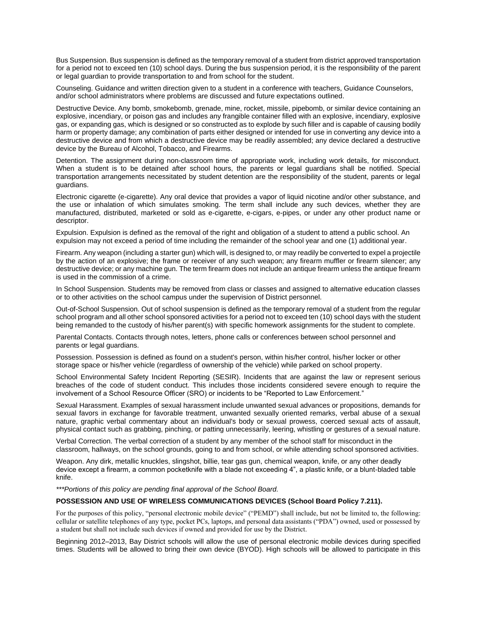Bus Suspension. Bus suspension is defined as the temporary removal of a student from district approved transportation for a period not to exceed ten (10) school days. During the bus suspension period, it is the responsibility of the parent or legal guardian to provide transportation to and from school for the student.

Counseling. Guidance and written direction given to a student in a conference with teachers, Guidance Counselors, and/or school administrators where problems are discussed and future expectations outlined.

Destructive Device. Any bomb, smokebomb, grenade, mine, rocket, missile, pipebomb, or similar device containing an explosive, incendiary, or poison gas and includes any frangible container filled with an explosive, incendiary, explosive gas, or expanding gas, which is designed or so constructed as to explode by such filler and is capable of causing bodily harm or property damage; any combination of parts either designed or intended for use in converting any device into a destructive device and from which a destructive device may be readily assembled; any device declared a destructive device by the Bureau of Alcohol, Tobacco, and Firearms.

Detention. The assignment during non-classroom time of appropriate work, including work details, for misconduct. When a student is to be detained after school hours, the parents or legal guardians shall be notified. Special transportation arrangements necessitated by student detention are the responsibility of the student, parents or legal guardians.

Electronic cigarette (e-cigarette). Any oral device that provides a vapor of liquid nicotine and/or other substance, and the use or inhalation of which simulates smoking. The term shall include any such devices, whether they are manufactured, distributed, marketed or sold as e-cigarette, e-cigars, e-pipes, or under any other product name or descriptor.

Expulsion. Expulsion is defined as the removal of the right and obligation of a student to attend a public school. An expulsion may not exceed a period of time including the remainder of the school year and one (1) additional year.

Firearm. Any weapon (including a starter gun) which will, is designed to, or may readily be converted to expel a projectile by the action of an explosive; the frame or receiver of any such weapon; any firearm muffler or firearm silencer; any destructive device; or any machine gun. The term firearm does not include an antique firearm unless the antique firearm is used in the commission of a crime.

In School Suspension. Students may be removed from class or classes and assigned to alternative education classes or to other activities on the school campus under the supervision of District personnel.

Out-of-School Suspension. Out of school suspension is defined as the temporary removal of a student from the regular school program and all other school sponsored activities for a period not to exceed ten (10) school days with the student being remanded to the custody of his/her parent(s) with specific homework assignments for the student to complete.

Parental Contacts. Contacts through notes, letters, phone calls or conferences between school personnel and parents or legal guardians.

Possession. Possession is defined as found on a student's person, within his/her control, his/her locker or other storage space or his/her vehicle (regardless of ownership of the vehicle) while parked on school property.

School Environmental Safety Incident Reporting (SESIR). Incidents that are against the law or represent serious breaches of the code of student conduct. This includes those incidents considered severe enough to require the involvement of a School Resource Officer (SRO) or incidents to be "Reported to Law Enforcement."

Sexual Harassment. Examples of sexual harassment include unwanted sexual advances or propositions, demands for sexual favors in exchange for favorable treatment, unwanted sexually oriented remarks, verbal abuse of a sexual nature, graphic verbal commentary about an individual's body or sexual prowess, coerced sexual acts of assault, physical contact such as grabbing, pinching, or patting unnecessarily, leering, whistling or gestures of a sexual nature.

Verbal Correction. The verbal correction of a student by any member of the school staff for misconduct in the classroom, hallways, on the school grounds, going to and from school, or while attending school sponsored activities.

Weapon. Any dirk, metallic knuckles, slingshot, billie, tear gas gun, chemical weapon, knife, or any other deadly device except a firearm, a common pocketknife with a blade not exceeding 4", a plastic knife, or a blunt-bladed table knife.

*\*\*\*Portions of this policy are pending final approval of the School Board.*

### **POSSESSION AND USE OF WIRELESS COMMUNICATIONS DEVICES (School Board Policy 7.211).**

For the purposes of this policy, "personal electronic mobile device" ("PEMD") shall include, but not be limited to, the following: cellular or satellite telephones of any type, pocket PCs, laptops, and personal data assistants ("PDA") owned, used or possessed by a student but shall not include such devices if owned and provided for use by the District.

Beginning 2012–2013, Bay District schools will allow the use of personal electronic mobile devices during specified times. Students will be allowed to bring their own device (BYOD). High schools will be allowed to participate in this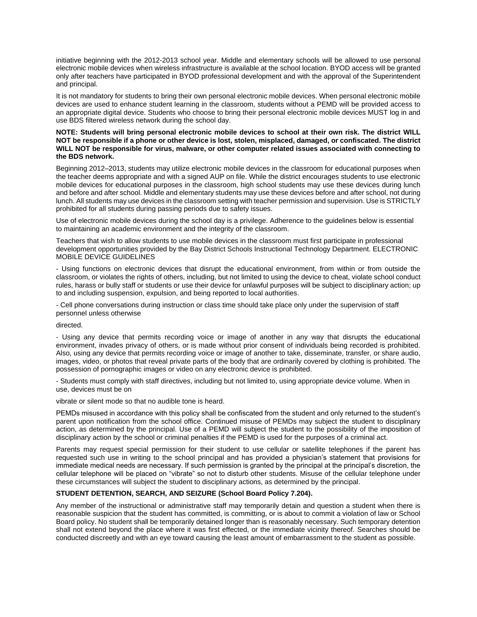initiative beginning with the 2012-2013 school year. Middle and elementary schools will be allowed to use personal electronic mobile devices when wireless infrastructure is available at the school location. BYOD access will be granted only after teachers have participated in BYOD professional development and with the approval of the Superintendent and principal.

It is not mandatory for students to bring their own personal electronic mobile devices. When personal electronic mobile devices are used to enhance student learning in the classroom, students without a PEMD will be provided access to an appropriate digital device. Students who choose to bring their personal electronic mobile devices MUST log in and use BDS filtered wireless network during the school day.

### **NOTE: Students will bring personal electronic mobile devices to school at their own risk. The district WILL NOT be responsible if a phone or other device is lost, stolen, misplaced, damaged, or confiscated. The district WILL NOT be responsible for virus, malware, or other computer related issues associated with connecting to the BDS network.**

Beginning 2012–2013, students may utilize electronic mobile devices in the classroom for educational purposes when the teacher deems appropriate and with a signed AUP on file. While the district encourages students to use electronic mobile devices for educational purposes in the classroom, high school students may use these devices during lunch and before and after school. Middle and elementary students may use these devices before and after school, not during lunch. All students may use devices in the classroom setting with teacher permission and supervision. Use is STRICTLY prohibited for all students during passing periods due to safety issues.

Use of electronic mobile devices during the school day is a privilege. Adherence to the guidelines below is essential to maintaining an academic environment and the integrity of the classroom.

Teachers that wish to allow students to use mobile devices in the classroom must first participate in professional development opportunities provided by the Bay District Schools Instructional Technology Department. ELECTRONIC MOBILE DEVICE GUIDELINES

- Using functions on electronic devices that disrupt the educational environment, from within or from outside the classroom, or violates the rights of others, including, but not limited to using the device to cheat, violate school conduct rules, harass or bully staff or students or use their device for unlawful purposes will be subject to disciplinary action; up to and including suspension, expulsion, and being reported to local authorities.

- Cell phone conversations during instruction or class time should take place only under the supervision of staff personnel unless otherwise

#### directed.

- Using any device that permits recording voice or image of another in any way that disrupts the educational environment, invades privacy of others, or is made without prior consent of individuals being recorded is prohibited. Also, using any device that permits recording voice or image of another to take, disseminate, transfer, or share audio, images, video, or photos that reveal private parts of the body that are ordinarily covered by clothing is prohibited. The possession of pornographic images or video on any electronic device is prohibited.

- Students must comply with staff directives, including but not limited to, using appropriate device volume. When in use, devices must be on

vibrate or silent mode so that no audible tone is heard.

PEMDs misused in accordance with this policy shall be confiscated from the student and only returned to the student's parent upon notification from the school office. Continued misuse of PEMDs may subject the student to disciplinary action, as determined by the principal. Use of a PEMD will subject the student to the possibility of the imposition of disciplinary action by the school or criminal penalties if the PEMD is used for the purposes of a criminal act.

Parents may request special permission for their student to use cellular or satellite telephones if the parent has requested such use in writing to the school principal and has provided a physician's statement that provisions for immediate medical needs are necessary. If such permission is granted by the principal at the principal's discretion, the cellular telephone will be placed on "vibrate" so not to disturb other students. Misuse of the cellular telephone under these circumstances will subject the student to disciplinary actions, as determined by the principal.

## **STUDENT DETENTION, SEARCH, AND SEIZURE (School Board Policy 7.204).**

Any member of the instructional or administrative staff may temporarily detain and question a student when there is reasonable suspicion that the student has committed, is committing, or is about to commit a violation of law or School Board policy. No student shall be temporarily detained longer than is reasonably necessary. Such temporary detention shall not extend beyond the place where it was first effected, or the immediate vicinity thereof. Searches should be conducted discreetly and with an eye toward causing the least amount of embarrassment to the student as possible.